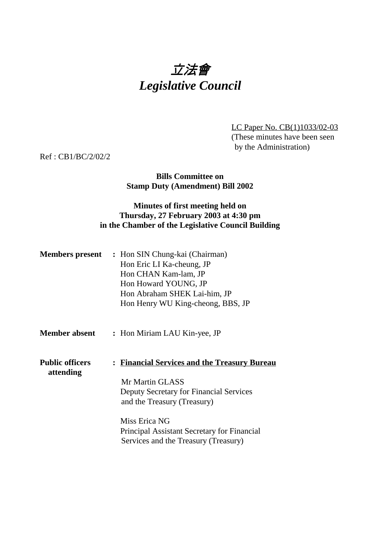# 立法會 *Legislative Council*

LC Paper No. CB(1)1033/02-03 (These minutes have been seen by the Administration)

Ref : CB1/BC/2/02/2

## **Bills Committee on Stamp Duty (Amendment) Bill 2002**

## **Minutes of first meeting held on Thursday, 27 February 2003 at 4:30 pm in the Chamber of the Legislative Council Building**

| <b>Members present</b> | : Hon SIN Chung-kai (Chairman)    |
|------------------------|-----------------------------------|
|                        | Hon Eric LI Ka-cheung, JP         |
|                        | Hon CHAN Kam-lam, JP              |
|                        | Hon Howard YOUNG, JP              |
|                        | Hon Abraham SHEK Lai-him, JP      |
|                        | Hon Henry WU King-cheong, BBS, JP |

- **Member absent :** Hon Miriam LAU Kin-yee, JP
- **Public officers : Financial Services and the Treasury Bureau attending** Mr Martin GLASS Deputy Secretary for Financial Services and the Treasury (Treasury) Miss Erica NG

Principal Assistant Secretary for Financial Services and the Treasury (Treasury)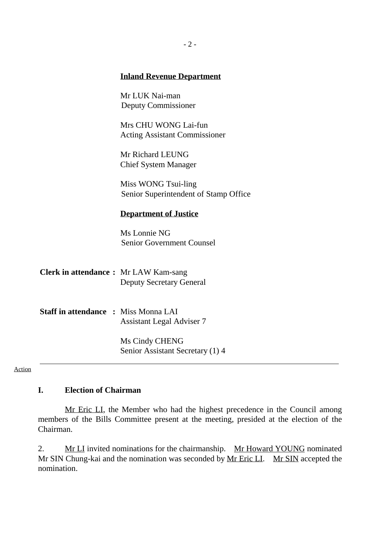### **Inland Revenue Department**

Mr LUK Nai-man Deputy Commissioner

Mrs CHU WONG Lai-fun Acting Assistant Commissioner

Mr Richard LEUNG Chief System Manager

Miss WONG Tsui-ling Senior Superintendent of Stamp Office

#### **Department of Justice**

Ms Lonnie NG Senior Government Counsel

| <b>Clerk in attendance :</b> Mr LAW Kam-sang |                                 |  |
|----------------------------------------------|---------------------------------|--|
|                                              | <b>Deputy Secretary General</b> |  |

**Staff in attendance :** Miss Monna LAI Assistant Legal Adviser 7

> Ms Cindy CHENG Senior Assistant Secretary (1) 4

Action

#### **I. Election of Chairman**

Mr Eric LI, the Member who had the highest precedence in the Council among members of the Bills Committee present at the meeting, presided at the election of the Chairman.

2. Mr LI invited nominations for the chairmanship. Mr Howard YOUNG nominated Mr SIN Chung-kai and the nomination was seconded by Mr Eric LI. Mr SIN accepted the nomination.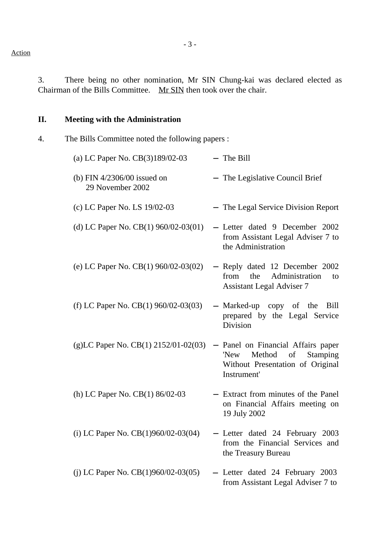3. There being no other nomination, Mr SIN Chung-kai was declared elected as Chairman of the Bills Committee. Mr SIN then took over the chair.

# **II. Meeting with the Administration**

4. The Bills Committee noted the following papers :

| (a) LC Paper No. CB(3)189/02-03                   | $-$ The Bill                                                                                                              |
|---------------------------------------------------|---------------------------------------------------------------------------------------------------------------------------|
| (b) FIN $4/2306/00$ issued on<br>29 November 2002 | - The Legislative Council Brief                                                                                           |
| (c) LC Paper No. LS 19/02-03                      | The Legal Service Division Report                                                                                         |
| (d) LC Paper No. CB $(1)$ 960/02-03 $(01)$        | - Letter dated 9 December 2002<br>from Assistant Legal Adviser 7 to<br>the Administration                                 |
| (e) LC Paper No. CB $(1)$ 960/02-03 $(02)$        | - Reply dated 12 December 2002<br>from<br>the<br>Administration<br>to<br><b>Assistant Legal Adviser 7</b>                 |
| (f) LC Paper No. CB(1) 960/02-03(03)              | - Marked-up copy of the<br>Bill<br>prepared by the Legal Service<br>Division                                              |
| (g)LC Paper No. CB(1) $2152/01 - 02(03)$          | - Panel on Financial Affairs paper<br>Method<br>'New<br>of<br>Stamping<br>Without Presentation of Original<br>Instrument' |
| (h) LC Paper No. CB(1) 86/02-03                   | - Extract from minutes of the Panel<br>on Financial Affairs meeting on<br>19 July 2002                                    |
| (i) LC Paper No. $CB(1)960/02-03(04)$             | - Letter dated 24 February 2003<br>from the Financial Services and<br>the Treasury Bureau                                 |
| (j) LC Paper No. $CB(1)960/02-03(05)$             | Letter dated 24 February 2003<br>from Assistant Legal Adviser 7 to                                                        |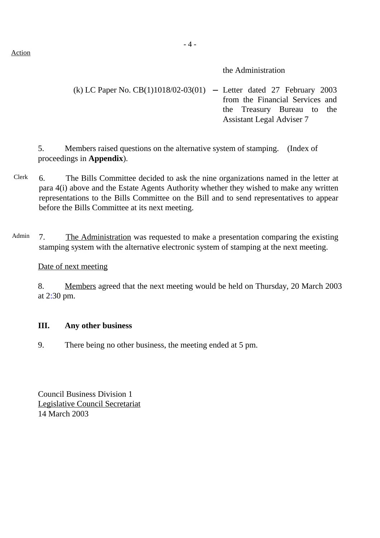Action

- 4 -

the Administration

# (k) LC Paper No. CB(1)1018/02-03(01) − Letter dated 27 February 2003 from the Financial Services and the Treasury Bureau to the Assistant Legal Adviser 7

5. Members raised questions on the alternative system of stamping. (Index of proceedings in **Appendix**).

- Clerk 6. The Bills Committee decided to ask the nine organizations named in the letter at para 4(i) above and the Estate Agents Authority whether they wished to make any written representations to the Bills Committee on the Bill and to send representatives to appear before the Bills Committee at its next meeting.
- Admin 7. The Administration was requested to make a presentation comparing the existing stamping system with the alternative electronic system of stamping at the next meeting.

## Date of next meeting

8. Members agreed that the next meeting would be held on Thursday, 20 March 2003 at 2:30 pm.

## **III. Any other business**

9. There being no other business, the meeting ended at 5 pm.

Council Business Division 1 Legislative Council Secretariat 14 March 2003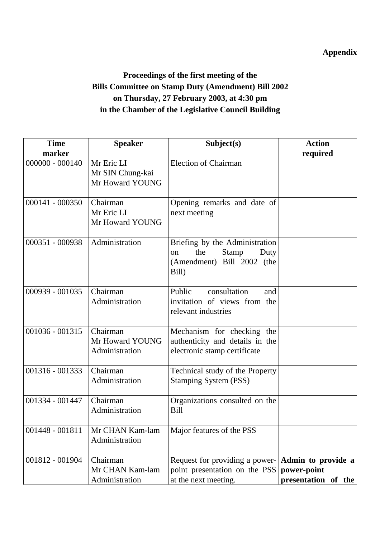# **Appendix**

# **Proceedings of the first meeting of the Bills Committee on Stamp Duty (Amendment) Bill 2002 on Thursday, 27 February 2003, at 4:30 pm in the Chamber of the Legislative Council Building**

| <b>Time</b>       | <b>Speaker</b>                                    | Subject(s)                                                                                                  | <b>Action</b>                                            |
|-------------------|---------------------------------------------------|-------------------------------------------------------------------------------------------------------------|----------------------------------------------------------|
| marker            |                                                   |                                                                                                             | required                                                 |
| $000000 - 000140$ | Mr Eric LI<br>Mr SIN Chung-kai<br>Mr Howard YOUNG | <b>Election of Chairman</b>                                                                                 |                                                          |
| 000141 - 000350   | Chairman<br>Mr Eric LI<br>Mr Howard YOUNG         | Opening remarks and date of<br>next meeting                                                                 |                                                          |
| 000351 - 000938   | Administration                                    | Briefing by the Administration<br>the<br><b>Stamp</b><br>Duty<br>on.<br>(Amendment) Bill 2002 (the<br>Bill) |                                                          |
| 000939 - 001035   | Chairman<br>Administration                        | consultation<br>Public<br>and<br>invitation of views from the<br>relevant industries                        |                                                          |
| 001036 - 001315   | Chairman<br>Mr Howard YOUNG<br>Administration     | Mechanism for checking the<br>authenticity and details in the<br>electronic stamp certificate               |                                                          |
| 001316 - 001333   | Chairman<br>Administration                        | Technical study of the Property<br><b>Stamping System (PSS)</b>                                             |                                                          |
| 001334 - 001447   | Chairman<br>Administration                        | Organizations consulted on the<br><b>Bill</b>                                                               |                                                          |
| 001448 - 001811   | Mr CHAN Kam-lam<br>Administration                 | Major features of the PSS                                                                                   |                                                          |
| 001812 - 001904   | Chairman<br>Mr CHAN Kam-lam<br>Administration     | Request for providing a power-<br>point presentation on the PSS<br>at the next meeting.                     | Admin to provide a<br>power-point<br>presentation of the |